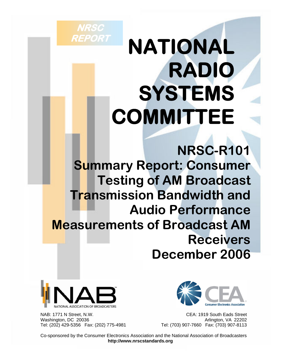# **NATIONAL RADIO SYSTEMS COMMITTEE**

**NRSC-R101 Summary Report: Consumer Testing of AM Broadcast Transmission Bandwidth and Audio Performance Measurements of Broadcast AM Receivers December 2006**



**NRSC** 

**REPORT** 

 NAB: 1771 N Street, N.W. CEA: 1919 South Eads Street Washington, DC 20036<br>Tel: (202) 429-5356 Fax: (202) 775-4981 <br>Tel: (703) 907-7660 Fax: (703) 907-8113 Tel: (202) 429-5356 Fax: (202) 775-4981



 Co-sponsored by the Consumer Electronics Association and the National Association of Broadcasters **http://www.nrscstandards.org**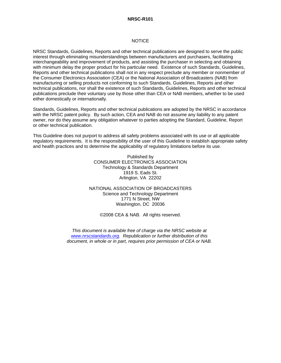#### **NRSC-R101**

#### **NOTICE**

NRSC Standards, Guidelines, Reports and other technical publications are designed to serve the public interest through eliminating misunderstandings between manufacturers and purchasers, facilitating interchangeability and improvement of products, and assisting the purchaser in selecting and obtaining with minimum delay the proper product for his particular need. Existence of such Standards, Guidelines, Reports and other technical publications shall not in any respect preclude any member or nonmember of the Consumer Electronics Association (CEA) or the National Association of Broadcasters (NAB) from manufacturing or selling products not conforming to such Standards, Guidelines, Reports and other technical publications, nor shall the existence of such Standards, Guidelines, Reports and other technical publications preclude their voluntary use by those other than CEA or NAB members, whether to be used either domestically or internationally.

Standards, Guidelines, Reports and other technical publications are adopted by the NRSC in accordance with the NRSC patent policy. By such action, CEA and NAB do not assume any liability to any patent owner, nor do they assume any obligation whatever to parties adopting the Standard, Guideline, Report or other technical publication.

This Guideline does not purport to address all safety problems associated with its use or all applicable regulatory requirements. It is the responsibility of the user of this Guideline to establish appropriate safety and health practices and to determine the applicability of regulatory limitations before its use.

> Published by CONSUMER ELECTRONICS ASSOCIATION Technology & Standards Department 1919 S. Eads St. Arlington, VA 22202

NATIONAL ASSOCIATION OF BROADCASTERS Science and Technology Department 1771 N Street, NW Washington, DC 20036

©2008 CEA & NAB. All rights reserved.

*This document is available free of charge via the NRSC website at www.nrscstandards.org. Republication or further distribution of this document, in whole or in part, requires prior permission of CEA or NAB.*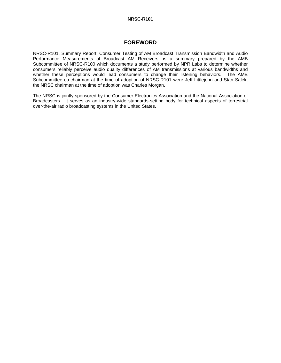## **NRSC-R101**

# **FOREWORD**

NRSC-R101, Summary Report: Consumer Testing of AM Broadcast Transmission Bandwidth and Audio Performance Measurements of Broadcast AM Receivers, is a summary prepared by the AMB Subcommittee of NRSC-R100 which documents a study performed by NPR Labs to determine whether consumers reliably perceive audio quality differences of AM transmissions at various bandwidths and whether these perceptions would lead consumers to change their listening behaviors. The AMB Subcommittee co-chairman at the time of adoption of NRSC-R101 were Jeff Littlejohn and Stan Salek; the NRSC chairman at the time of adoption was Charles Morgan.

The NRSC is jointly sponsored by the Consumer Electronics Association and the National Association of Broadcasters. It serves as an industry-wide standards-setting body for technical aspects of terrestrial over-the-air radio broadcasting systems in the United States.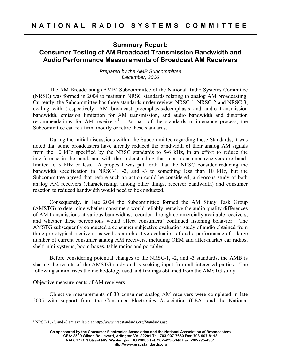# **Summary Report: Consumer Testing of AM Broadcast Transmission Bandwidth and Audio Performance Measurements of Broadcast AM Receivers**

# *Prepared by the AMB Subcommittee December, 2006*

 The AM Broadcasting (AMB) Subcommittee of the National Radio Systems Committee (NRSC) was formed in 2004 to maintain NRSC standards relating to analog AM broadcasting. Currently, the Subcommittee has three standards under review: NRSC-1, NRSC-2 and NRSC-3, dealing with (respectively) AM broadcast preemphasis/deemphasis and audio transmission bandwidth, emission limitation for AM transmission, and audio bandwidth and distortion recommendations for AM receivers.<sup>1</sup> As part of the standards maintenance process, the Subcommittee can reaffirm, modify or retire these standards.

 During the initial discussions within the Subcommittee regarding these Standards, it was noted that some broadcasters have already reduced the bandwidth of their analog AM signals from the 10 kHz specified by the NRSC standards to 5-6 kHz, in an effort to reduce the interference in the band, and with the understanding that most consumer receivers are bandlimited to 5 kHz or less. A proposal was put forth that the NRSC consider reducing the bandwidth specification in NRSC-1, -2, and -3 to something less than 10 kHz, but the Subcommittee agreed that before such an action could be considered, a rigorous study of both analog AM receivers (characterizing, among other things, receiver bandwidth) and consumer reaction to reduced bandwidth would need to be conducted.

 Consequently, in late 2004 the Subcommittee formed the AM Study Task Group (AMSTG) to determine whether consumers would reliably perceive the audio quality differences of AM transmissions at various bandwidths, recorded through commercially available receivers, and whether these perceptions would affect consumers' continued listening behavior. The AMSTG subsequently conducted a consumer subjective evaluation study of audio obtained from three prototypical receivers, as well as an objective evaluation of audio performance of a large number of current consumer analog AM receivers, including OEM and after-market car radios, shelf mini-systems, boom boxes, table radios and portables.

 Before considering potential changes to the NRSC-1, -2, and -3 standards, the AMB is sharing the results of the AMSTG study and is seeking input from all interested parties. The following summarizes the methodology used and findings obtained from the AMSTG study.

# Objective measurements of AM receivers

 $\overline{a}$ 

 Objective measurements of 30 consumer analog AM receivers were completed in late 2005 with support from the Consumer Electronics Association (CEA) and the National

<sup>&</sup>lt;sup>1</sup> NRSC-1, -2, and -3 are available at http://www.nrscstandards.org/Standards.asp.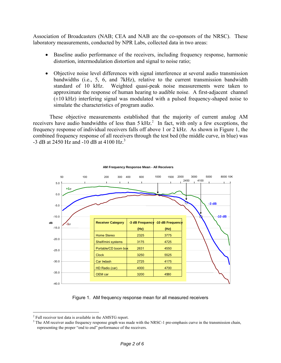Association of Broadcasters (NAB; CEA and NAB are the co-sponsors of the NRSC). These laboratory measurements, conducted by NPR Labs, collected data in two areas:

- Baseline audio performance of the receivers, including frequency response, harmonic distortion, intermodulation distortion and signal to noise ratio;
- Objective noise level differences with signal interference at several audio transmission bandwidths (i.e., 5, 6, and 7kHz), relative to the current transmission bandwidth standard of 10 kHz. Weighted quasi-peak noise measurements were taken to approximate the response of human hearing to audible noise. A first-adjacent channel  $(\pm 10 \text{ kHz})$  interfering signal was modulated with a pulsed frequency-shaped noise to simulate the characteristics of program audio.

 These objective measurements established that the majority of current analog AM receivers have audio bandwidths of less than  $5 \text{ kHz}^2$  In fact, with only a few exceptions, the frequency response of individual receivers falls off above 1 or 2 kHz. As shown in Figure 1, the combined frequency response of all receivers through the test bed (the middle curve, in blue) was -3 dB at 2450 Hz and -10 dB at 4100 Hz.<sup>3</sup>



#### **AM Frequency Response Mean - All Receivers**

Figure 1. AM frequency response mean for all measured receivers

 $\overline{a}$ 

 $2$  Full receiver test data is available in the AMSTG report.

 $3$  The AM receiver audio frequency response graph was made with the NRSC-1 pre-emphasis curve in the transmission chain, representing the proper "end to end" performance of the receivers.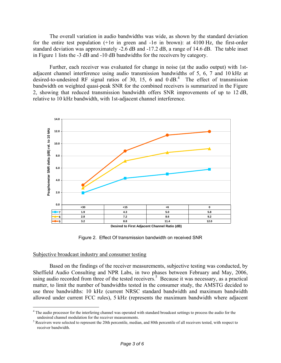The overall variation in audio bandwidths was wide, as shown by the standard deviation for the entire test population  $(+1\sigma)$  in green and  $-1\sigma$  in brown): at 4100 Hz, the first-order standard deviation was approximately -2.6 dB and -17.2 dB, a range of 14.6 dB. The table inset in Figure 1 lists the -3 dB and -10 dB bandwidths for the receivers by category.

 Further, each receiver was evaluated for change in noise (at the audio output) with 1stadjacent channel interference using audio transmission bandwidths of 5, 6, 7 and 10 kHz at desired-to-undesired RF signal ratios of 30, 15, 6 and  $0 \text{ dB}$ <sup>4</sup>. The effect of transmission bandwidth on weighted quasi-peak SNR for the combined receivers is summarized in the Figure 2, showing that reduced transmission bandwidth offers SNR improvements of up to 12 dB, relative to 10 kHz bandwidth, with 1st-adjacent channel interference.



**Desired to First Adjacent Channel Ratio (dB)**

Figure 2. Effect Of transmission bandwidth on received SNR

### Subjective broadcast industry and consumer testing

 $\overline{a}$ 

 Based on the findings of the receiver measurements, subjective testing was conducted, by Sheffield Audio Consulting and NPR Labs, in two phases between February and May, 2006, using audio recorded from three of the tested receivers.<sup>5</sup> Because it was necessary, as a practical matter, to limit the number of bandwidths tested in the consumer study, the AMSTG decided to use three bandwidths: 10 kHz (current NRSC standard bandwidth and maximum bandwidth allowed under current FCC rules), 5 kHz (represents the maximum bandwidth where adjacent

<sup>&</sup>lt;sup>4</sup> The audio processor for the interfering channel was operated with standard broadcast settings to process the audio for the undesired channel modulation for the receiver measurements.

<sup>&</sup>lt;sup>5</sup> Receivers were selected to represent the 20th percentile, median, and 80th percentile of all receivers tested, with respect to receiver bandwidth.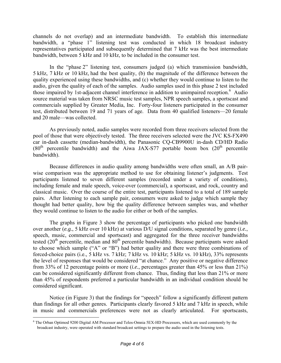channels do not overlap) and an intermediate bandwidth. To establish this intermediate bandwidth, a "phase 1" listening test was conducted in which 18 broadcast industry representatives participated and subsequently determined that 7 kHz was the best intermediate bandwidth, between 5 kHz and 10 kHz, to be included in the consumer test.

 In the "phase 2" listening test, consumers judged (a) which transmission bandwidth, 5 kHz, 7 kHz or 10 kHz, had the best quality, (b) the magnitude of the difference between the quality experienced using these bandwidths, and (c) whether they would continue to listen to the audio, given the quality of each of the samples. Audio samples used in this phase 2 test included those impaired by 1st-adjacent channel interference in addition to unimpaired reception.<sup>6</sup> Audio source material was taken from NRSC music test samples, NPR speech samples, a sportscast and commercials supplied by Greater Media, Inc. Forty-four listeners participated in the consumer test, distributed between 19 and 71 years of age. Data from 40 qualified listeners—20 female and 20 male—was collected.

 As previously noted, audio samples were recorded from three receivers selected from the pool of those that were objectively tested. The three receivers selected were the JVC KS-FX490 car in-dash cassette (median-bandwidth), the Panasonic CQ-CB9900U in-dash CD/HD Radio  $(80<sup>th</sup>$  percentile bandwidth) and the Aiwa JAX-S77 portable boom box  $(20<sup>th</sup>$  percentile bandwidth).

 Because differences in audio quality among bandwidths were often small, an A/B pairwise comparison was the appropriate method to use for obtaining listener's judgments. Test participants listened to seven different samples (recorded under a variety of conditions), including female and male speech, voice-over (commercial), a sportscast, and rock, country and classical music. Over the course of the entire test, participants listened to a total of 189 sample pairs. After listening to each sample pair, consumers were asked to judge which sample they thought had better quality, how big the quality difference between samples was, and whether they would continue to listen to the audio for either or both of the samples.

 The graphs in Figure 3 show the percentage of participants who picked one bandwidth over another (*e.g.*, 5 kHz over 10 kHz) at various D/U signal conditions, separated by genre (*i.e.*, speech, music, commercial and sportscast) and aggregated for the three receiver bandwidths tested (20<sup>th</sup> percentile, median and 80<sup>th</sup> percentile bandwidth). Because participants were asked to choose which sample ("A" or "B") had better quality and there were three combinations of forced-choice pairs (i.e., 5 kHz vs. 7 kHz; 7 kHz vs. 10 kHz; 5 kHz vs. 10 kHz), 33% represents the level of responses that would be considered "at chance." Any positive or negative difference from 33% of 12 percentage points or more (*i.e.*, percentages greater than 45% or less than 21%) can be considered significantly different from chance. Thus, finding that less than 21% or more than 45% of respondents preferred a particular bandwidth in an individual condition should be considered significant.

 Notice (in Figure 3) that the findings for "speech" follow a significantly different pattern than findings for all other genres. Participants clearly favored 5 kHz and 7 kHz in speech, while in music and commercials preferences were not as clearly articulated. For sportscasts,

 $\overline{a}$ 

<sup>&</sup>lt;sup>6</sup> The Orban Optimod 9200 Digital AM Processor and Telos-Omnia 5EX-HD Processors, which are used commonly by the broadcast industry, were operated with standard broadcast settings to prepare the audio used in the listening tests.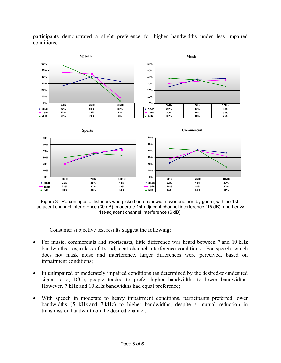

participants demonstrated a slight preference for higher bandwidths under less impaired conditions.

Figure 3. Percentages of listeners who picked one bandwidth over another, by genre, with no 1stadjacent channel interference (30 dB), moderate 1st-adjacent channel interference (15 dB), and heavy 1st-adjacent channel interference (6 dB).

Consumer subjective test results suggest the following:

- For music, commercials and sportscasts, little difference was heard between 7 and 10 kHz bandwidths, regardless of 1st-adjacent channel interference conditions. For speech, which does not mask noise and interference, larger differences were perceived, based on impairment conditions;
- In unimpaired or moderately impaired conditions (as determined by the desired-to-undesired signal ratio, D/U), people tended to prefer higher bandwidths to lower bandwidths. However, 7 kHz and 10 kHz bandwidths had equal preference;
- With speech in moderate to heavy impairment conditions, participants preferred lower bandwidths (5 kHz and 7 kHz) to higher bandwidths, despite a mutual reduction in transmission bandwidth on the desired channel.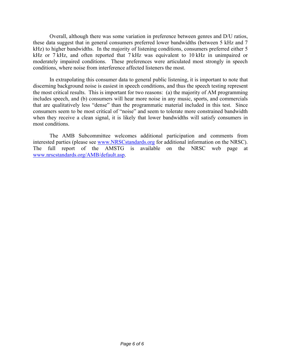Overall, although there was some variation in preference between genres and D/U ratios, these data suggest that in general consumers preferred lower bandwidths (between 5 kHz and 7 kHz) to higher bandwidths. In the majority of listening conditions, consumers preferred either 5 kHz or 7 kHz, and often reported that 7 kHz was equivalent to 10 kHz in unimpaired or moderately impaired conditions. These preferences were articulated most strongly in speech conditions, where noise from interference affected listeners the most.

 In extrapolating this consumer data to general public listening, it is important to note that discerning background noise is easiest in speech conditions, and thus the speech testing represent the most critical results. This is important for two reasons: (a) the majority of AM programming includes speech, and (b) consumers will hear more noise in any music, sports, and commercials that are qualitatively less "dense" than the programmatic material included in this test. Since consumers seem to be most critical of "noise" and seem to tolerate more constrained bandwidth when they receive a clean signal, it is likely that lower bandwidths will satisfy consumers in most conditions.

 The AMB Subcommittee welcomes additional participation and comments from interested parties (please see www.NRSCstandards.org for additional information on the NRSC). The full report of the AMSTG is available on the NRSC web page at www.nrscstandards.org/AMB/default.asp.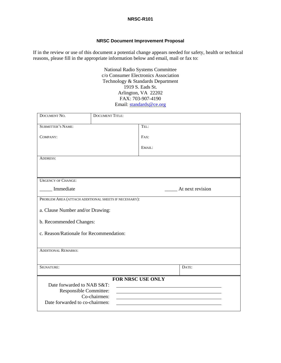#### **NRSC-R101**

# **NRSC Document Improvement Proposal**

If in the review or use of this document a potential change appears needed for safety, health or technical reasons, please fill in the appropriate information below and email, mail or fax to:

> National Radio Systems Committee c/o Consumer Electronics Association Technology & Standards Department 1919 S. Eads St. Arlington, VA 22202 FAX: 703-907-4190 Email: standards@ce.org

| DOCUMENT NO.                                          | <b>DOCUMENT TITLE:</b> |                  |
|-------------------------------------------------------|------------------------|------------------|
| <b>SUBMITTER'S NAME:</b>                              |                        | TEL:             |
| COMPANY:                                              |                        | FAX:             |
|                                                       |                        | EMAIL:           |
| <b>ADDRESS:</b>                                       |                        |                  |
|                                                       |                        |                  |
| <b>URGENCY OF CHANGE:</b>                             |                        |                  |
| Immediate                                             |                        | At next revision |
| PROBLEM AREA (ATTACH ADDITIONAL SHEETS IF NECESSARY): |                        |                  |
| a. Clause Number and/or Drawing:                      |                        |                  |
| b. Recommended Changes:                               |                        |                  |
| c. Reason/Rationale for Recommendation:               |                        |                  |
|                                                       |                        |                  |
| <b>ADDITIONAL REMARKS:</b>                            |                        |                  |
|                                                       |                        |                  |
| SIGNATURE:                                            |                        | DATE:            |
| FOR NRSC USE ONLY<br>Date forwarded to NAB S&T:       |                        |                  |
| Responsible Committee:                                |                        |                  |
| Co-chairmen:                                          |                        |                  |
| Date forwarded to co-chairmen:                        |                        |                  |